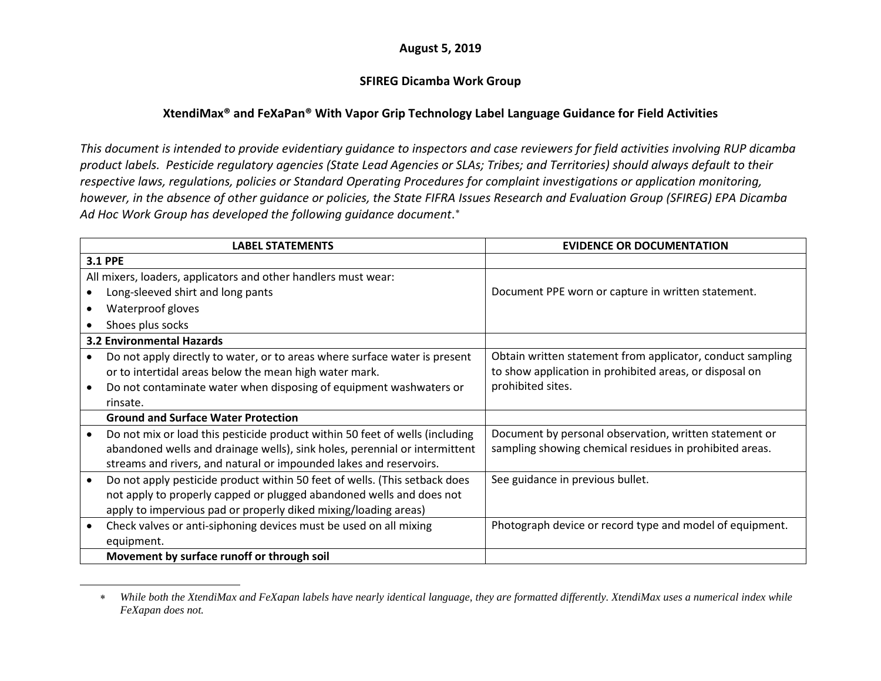## <span id="page-0-0"></span>**August 5, 2019**

## **SFIREG Dicamba Work Group**

## **XtendiMax® and FeXaPan® With Vapor Grip Technology Label Language Guidance for Field Activities**

*This document is intended to provide evidentiary guidance to inspectors and case reviewers for field activities involving RUP dicamba product labels. Pesticide regulatory agencies (State Lead Agencies or SLAs; Tribes; and Territories) should always default to their respective laws, regulations, policies or Standard Operating Procedures for complaint investigations or application monitoring, however, in the absence of other guidance or policies, the State FIFRA Issues Research and Evaluation Group (SFIREG) EPA Dicamba Ad Hoc Work Group has developed the following guidance document*. [∗](#page-0-0)

|           | <b>LABEL STATEMENTS</b>                                                      | <b>EVIDENCE OR DOCUMENTATION</b>                           |
|-----------|------------------------------------------------------------------------------|------------------------------------------------------------|
|           | <b>3.1 PPE</b>                                                               |                                                            |
|           | All mixers, loaders, applicators and other handlers must wear:               |                                                            |
|           | Long-sleeved shirt and long pants                                            | Document PPE worn or capture in written statement.         |
|           | Waterproof gloves                                                            |                                                            |
|           | Shoes plus socks                                                             |                                                            |
|           | <b>3.2 Environmental Hazards</b>                                             |                                                            |
|           | Do not apply directly to water, or to areas where surface water is present   | Obtain written statement from applicator, conduct sampling |
|           | or to intertidal areas below the mean high water mark.                       | to show application in prohibited areas, or disposal on    |
|           | Do not contaminate water when disposing of equipment washwaters or           | prohibited sites.                                          |
|           | rinsate.                                                                     |                                                            |
|           | <b>Ground and Surface Water Protection</b>                                   |                                                            |
|           | Do not mix or load this pesticide product within 50 feet of wells (including | Document by personal observation, written statement or     |
|           | abandoned wells and drainage wells), sink holes, perennial or intermittent   | sampling showing chemical residues in prohibited areas.    |
|           | streams and rivers, and natural or impounded lakes and reservoirs.           |                                                            |
|           | Do not apply pesticide product within 50 feet of wells. (This setback does   | See guidance in previous bullet.                           |
|           | not apply to properly capped or plugged abandoned wells and does not         |                                                            |
|           | apply to impervious pad or properly diked mixing/loading areas)              |                                                            |
| $\bullet$ | Check valves or anti-siphoning devices must be used on all mixing            | Photograph device or record type and model of equipment.   |
|           | equipment.                                                                   |                                                            |
|           | Movement by surface runoff or through soil                                   |                                                            |

<sup>∗</sup> *While both the XtendiMax and FeXapan labels have nearly identical language, they are formatted differently. XtendiMax uses a numerical index while FeXapan does not.*

 $\overline{a}$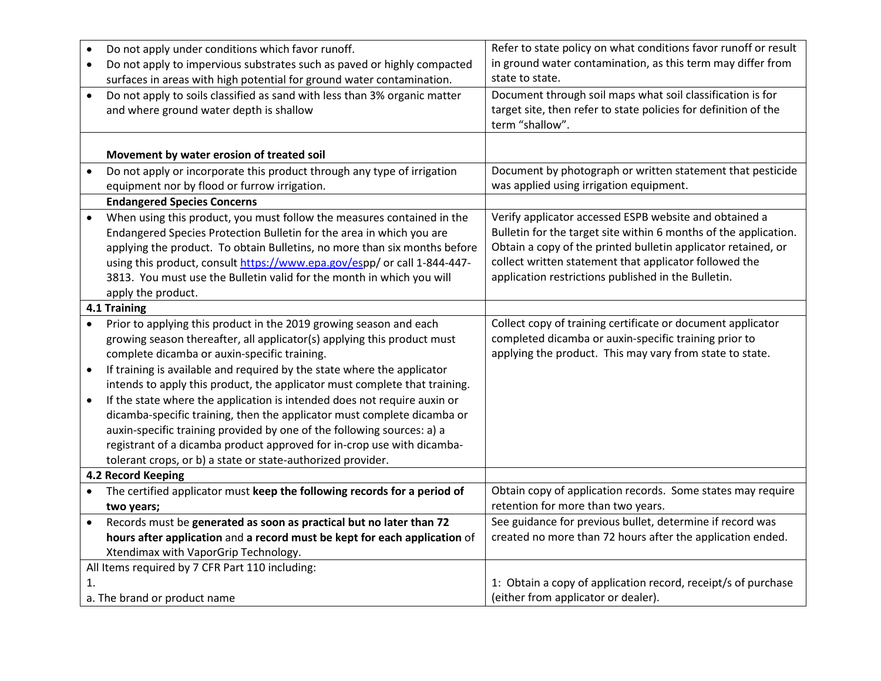| $\bullet$    | Do not apply under conditions which favor runoff.                          | Refer to state policy on what conditions favor runoff or result  |
|--------------|----------------------------------------------------------------------------|------------------------------------------------------------------|
| $\bullet$    | Do not apply to impervious substrates such as paved or highly compacted    | in ground water contamination, as this term may differ from      |
|              | surfaces in areas with high potential for ground water contamination.      | state to state.                                                  |
| $\bullet$    | Do not apply to soils classified as sand with less than 3% organic matter  | Document through soil maps what soil classification is for       |
|              | and where ground water depth is shallow                                    | target site, then refer to state policies for definition of the  |
|              |                                                                            | term "shallow".                                                  |
|              |                                                                            |                                                                  |
|              | Movement by water erosion of treated soil                                  |                                                                  |
| $\bullet$    | Do not apply or incorporate this product through any type of irrigation    | Document by photograph or written statement that pesticide       |
|              | equipment nor by flood or furrow irrigation.                               | was applied using irrigation equipment.                          |
|              | <b>Endangered Species Concerns</b>                                         |                                                                  |
|              | When using this product, you must follow the measures contained in the     | Verify applicator accessed ESPB website and obtained a           |
|              | Endangered Species Protection Bulletin for the area in which you are       | Bulletin for the target site within 6 months of the application. |
|              | applying the product. To obtain Bulletins, no more than six months before  | Obtain a copy of the printed bulletin applicator retained, or    |
|              | using this product, consult https://www.epa.gov/espp/ or call 1-844-447-   | collect written statement that applicator followed the           |
|              | 3813. You must use the Bulletin valid for the month in which you will      | application restrictions published in the Bulletin.              |
|              | apply the product.                                                         |                                                                  |
| 4.1 Training |                                                                            |                                                                  |
| $\bullet$    | Prior to applying this product in the 2019 growing season and each         | Collect copy of training certificate or document applicator      |
|              | growing season thereafter, all applicator(s) applying this product must    | completed dicamba or auxin-specific training prior to            |
|              | complete dicamba or auxin-specific training.                               | applying the product. This may vary from state to state.         |
| $\bullet$    | If training is available and required by the state where the applicator    |                                                                  |
|              | intends to apply this product, the applicator must complete that training. |                                                                  |
| $\bullet$    | If the state where the application is intended does not require auxin or   |                                                                  |
|              | dicamba-specific training, then the applicator must complete dicamba or    |                                                                  |
|              | auxin-specific training provided by one of the following sources: a) a     |                                                                  |
|              | registrant of a dicamba product approved for in-crop use with dicamba-     |                                                                  |
|              | tolerant crops, or b) a state or state-authorized provider.                |                                                                  |
|              | 4.2 Record Keeping                                                         |                                                                  |
| $\bullet$    | The certified applicator must keep the following records for a period of   | Obtain copy of application records. Some states may require      |
|              | two years;                                                                 | retention for more than two years.                               |
|              | Records must be generated as soon as practical but no later than 72        | See guidance for previous bullet, determine if record was        |
|              | hours after application and a record must be kept for each application of  | created no more than 72 hours after the application ended.       |
|              | Xtendimax with VaporGrip Technology.                                       |                                                                  |
|              | All Items required by 7 CFR Part 110 including:                            |                                                                  |
| 1.           |                                                                            | 1: Obtain a copy of application record, receipt/s of purchase    |
|              | a. The brand or product name                                               | (either from applicator or dealer).                              |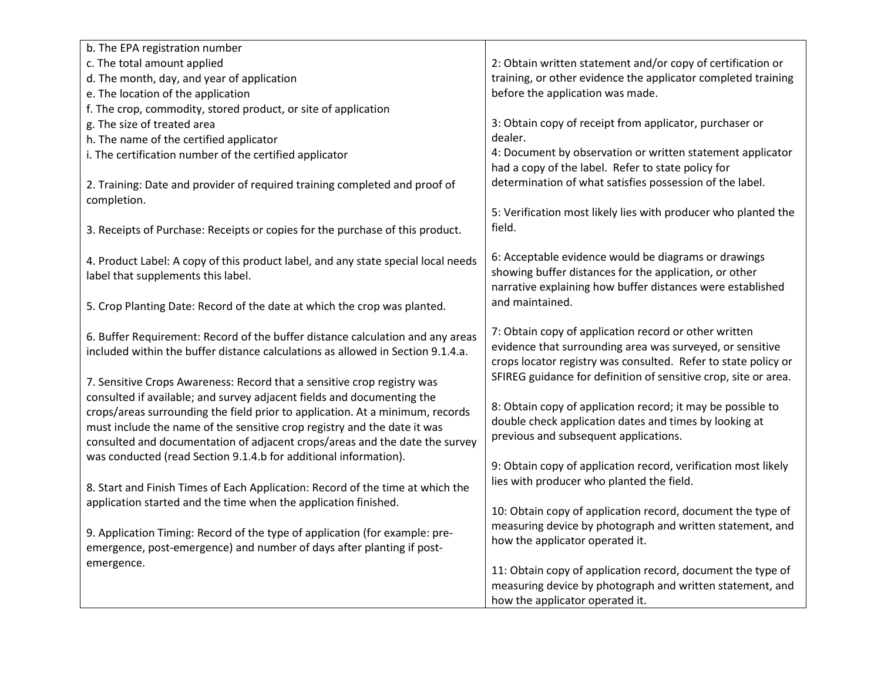| b. The EPA registration number                                                            |                                                                                                                |
|-------------------------------------------------------------------------------------------|----------------------------------------------------------------------------------------------------------------|
| c. The total amount applied                                                               | 2: Obtain written statement and/or copy of certification or                                                    |
| d. The month, day, and year of application                                                | training, or other evidence the applicator completed training                                                  |
| e. The location of the application                                                        | before the application was made.                                                                               |
| f. The crop, commodity, stored product, or site of application                            |                                                                                                                |
| g. The size of treated area                                                               | 3: Obtain copy of receipt from applicator, purchaser or                                                        |
| h. The name of the certified applicator                                                   | dealer.                                                                                                        |
| i. The certification number of the certified applicator                                   | 4: Document by observation or written statement applicator                                                     |
|                                                                                           | had a copy of the label. Refer to state policy for                                                             |
| 2. Training: Date and provider of required training completed and proof of<br>completion. | determination of what satisfies possession of the label.                                                       |
|                                                                                           | 5: Verification most likely lies with producer who planted the                                                 |
| 3. Receipts of Purchase: Receipts or copies for the purchase of this product.             | field.                                                                                                         |
| 4. Product Label: A copy of this product label, and any state special local needs         | 6: Acceptable evidence would be diagrams or drawings<br>showing buffer distances for the application, or other |
| label that supplements this label.                                                        | narrative explaining how buffer distances were established                                                     |
| 5. Crop Planting Date: Record of the date at which the crop was planted.                  | and maintained.                                                                                                |
|                                                                                           |                                                                                                                |
| 6. Buffer Requirement: Record of the buffer distance calculation and any areas            | 7: Obtain copy of application record or other written                                                          |
| included within the buffer distance calculations as allowed in Section 9.1.4.a.           | evidence that surrounding area was surveyed, or sensitive                                                      |
|                                                                                           | crops locator registry was consulted. Refer to state policy or                                                 |
| 7. Sensitive Crops Awareness: Record that a sensitive crop registry was                   | SFIREG guidance for definition of sensitive crop, site or area.                                                |
| consulted if available; and survey adjacent fields and documenting the                    |                                                                                                                |
| crops/areas surrounding the field prior to application. At a minimum, records             | 8: Obtain copy of application record; it may be possible to                                                    |
| must include the name of the sensitive crop registry and the date it was                  | double check application dates and times by looking at                                                         |
| consulted and documentation of adjacent crops/areas and the date the survey               | previous and subsequent applications.                                                                          |
| was conducted (read Section 9.1.4.b for additional information).                          |                                                                                                                |
|                                                                                           | 9: Obtain copy of application record, verification most likely                                                 |
| 8. Start and Finish Times of Each Application: Record of the time at which the            | lies with producer who planted the field.                                                                      |
| application started and the time when the application finished.                           |                                                                                                                |
|                                                                                           | 10: Obtain copy of application record, document the type of                                                    |
| 9. Application Timing: Record of the type of application (for example: pre-               | measuring device by photograph and written statement, and                                                      |
| emergence, post-emergence) and number of days after planting if post-                     | how the applicator operated it.                                                                                |
| emergence.                                                                                | 11: Obtain copy of application record, document the type of                                                    |
|                                                                                           | measuring device by photograph and written statement, and                                                      |
|                                                                                           | how the applicator operated it.                                                                                |
|                                                                                           |                                                                                                                |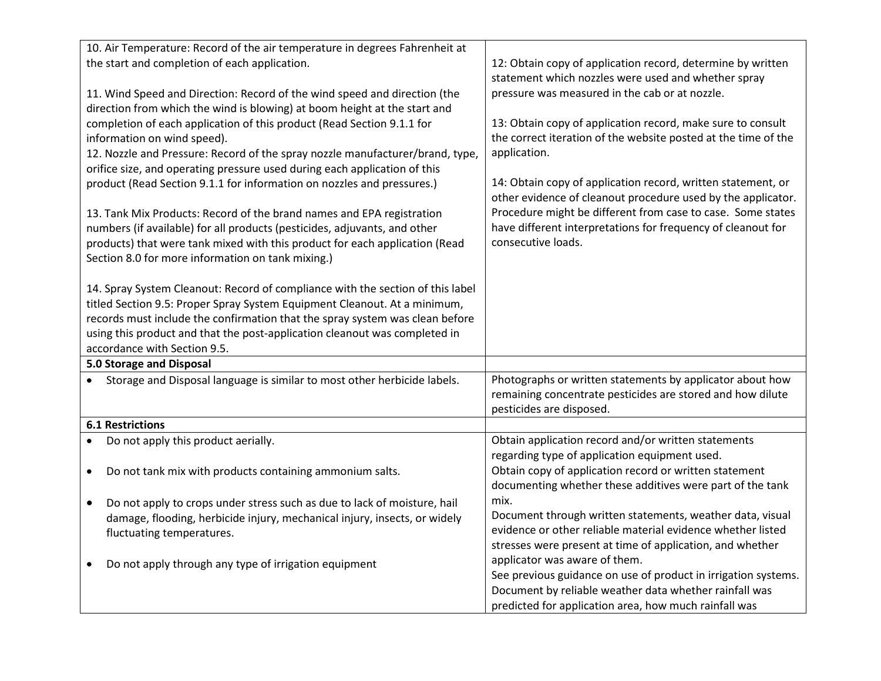|                                                                           | 10. Air Temperature: Record of the air temperature in degrees Fahrenheit at                                |                                                                |
|---------------------------------------------------------------------------|------------------------------------------------------------------------------------------------------------|----------------------------------------------------------------|
|                                                                           | the start and completion of each application.                                                              | 12: Obtain copy of application record, determine by written    |
|                                                                           |                                                                                                            | statement which nozzles were used and whether spray            |
| 11. Wind Speed and Direction: Record of the wind speed and direction (the |                                                                                                            | pressure was measured in the cab or at nozzle.                 |
| direction from which the wind is blowing) at boom height at the start and |                                                                                                            |                                                                |
|                                                                           | completion of each application of this product (Read Section 9.1.1 for                                     | 13: Obtain copy of application record, make sure to consult    |
|                                                                           | information on wind speed).                                                                                | the correct iteration of the website posted at the time of the |
|                                                                           | 12. Nozzle and Pressure: Record of the spray nozzle manufacturer/brand, type,                              | application.                                                   |
|                                                                           | orifice size, and operating pressure used during each application of this                                  |                                                                |
|                                                                           | product (Read Section 9.1.1 for information on nozzles and pressures.)                                     | 14: Obtain copy of application record, written statement, or   |
|                                                                           |                                                                                                            | other evidence of cleanout procedure used by the applicator.   |
|                                                                           | 13. Tank Mix Products: Record of the brand names and EPA registration                                      | Procedure might be different from case to case. Some states    |
|                                                                           | numbers (if available) for all products (pesticides, adjuvants, and other                                  | have different interpretations for frequency of cleanout for   |
|                                                                           | products) that were tank mixed with this product for each application (Read                                | consecutive loads.                                             |
|                                                                           | Section 8.0 for more information on tank mixing.)                                                          |                                                                |
|                                                                           |                                                                                                            |                                                                |
|                                                                           | 14. Spray System Cleanout: Record of compliance with the section of this label                             |                                                                |
|                                                                           | titled Section 9.5: Proper Spray System Equipment Cleanout. At a minimum,                                  |                                                                |
|                                                                           | records must include the confirmation that the spray system was clean before                               |                                                                |
|                                                                           | using this product and that the post-application cleanout was completed in<br>accordance with Section 9.5. |                                                                |
| 5.0 Storage and Disposal                                                  |                                                                                                            |                                                                |
| Storage and Disposal language is similar to most other herbicide labels.  |                                                                                                            | Photographs or written statements by applicator about how      |
|                                                                           |                                                                                                            | remaining concentrate pesticides are stored and how dilute     |
|                                                                           |                                                                                                            | pesticides are disposed.                                       |
|                                                                           | <b>6.1 Restrictions</b>                                                                                    |                                                                |
|                                                                           | Do not apply this product aerially.                                                                        | Obtain application record and/or written statements            |
|                                                                           |                                                                                                            | regarding type of application equipment used.                  |
| $\bullet$                                                                 | Do not tank mix with products containing ammonium salts.                                                   | Obtain copy of application record or written statement         |
|                                                                           |                                                                                                            | documenting whether these additives were part of the tank      |
| $\bullet$                                                                 | Do not apply to crops under stress such as due to lack of moisture, hail                                   | mix.                                                           |
|                                                                           | damage, flooding, herbicide injury, mechanical injury, insects, or widely                                  | Document through written statements, weather data, visual      |
|                                                                           | fluctuating temperatures.                                                                                  | evidence or other reliable material evidence whether listed    |
|                                                                           |                                                                                                            | stresses were present at time of application, and whether      |
|                                                                           | Do not apply through any type of irrigation equipment                                                      | applicator was aware of them.                                  |
|                                                                           |                                                                                                            | See previous guidance on use of product in irrigation systems. |
|                                                                           |                                                                                                            | Document by reliable weather data whether rainfall was         |
|                                                                           |                                                                                                            | predicted for application area, how much rainfall was          |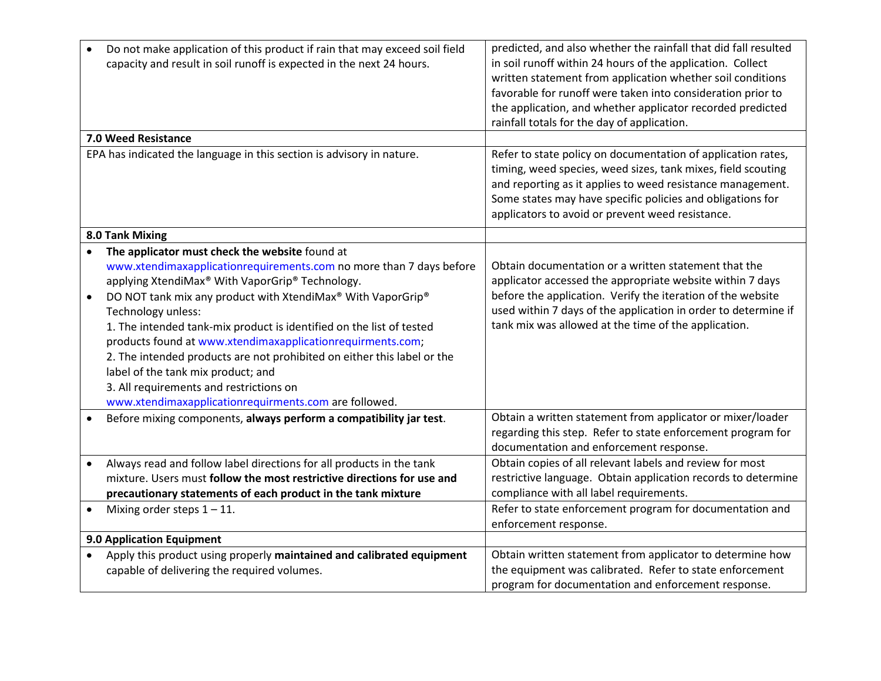| $\bullet$ | Do not make application of this product if rain that may exceed soil field<br>capacity and result in soil runoff is expected in the next 24 hours. | predicted, and also whether the rainfall that did fall resulted<br>in soil runoff within 24 hours of the application. Collect |
|-----------|----------------------------------------------------------------------------------------------------------------------------------------------------|-------------------------------------------------------------------------------------------------------------------------------|
|           |                                                                                                                                                    | written statement from application whether soil conditions                                                                    |
|           |                                                                                                                                                    | favorable for runoff were taken into consideration prior to                                                                   |
|           |                                                                                                                                                    | the application, and whether applicator recorded predicted                                                                    |
|           |                                                                                                                                                    | rainfall totals for the day of application.                                                                                   |
|           | 7.0 Weed Resistance                                                                                                                                |                                                                                                                               |
|           | EPA has indicated the language in this section is advisory in nature.                                                                              | Refer to state policy on documentation of application rates,                                                                  |
|           |                                                                                                                                                    | timing, weed species, weed sizes, tank mixes, field scouting                                                                  |
|           |                                                                                                                                                    | and reporting as it applies to weed resistance management.                                                                    |
|           |                                                                                                                                                    | Some states may have specific policies and obligations for                                                                    |
|           |                                                                                                                                                    | applicators to avoid or prevent weed resistance.                                                                              |
|           | 8.0 Tank Mixing                                                                                                                                    |                                                                                                                               |
| $\bullet$ | The applicator must check the website found at                                                                                                     |                                                                                                                               |
|           | www.xtendimaxapplicationrequirements.com no more than 7 days before                                                                                | Obtain documentation or a written statement that the                                                                          |
|           | applying XtendiMax® With VaporGrip® Technology.                                                                                                    | applicator accessed the appropriate website within 7 days                                                                     |
| $\bullet$ | DO NOT tank mix any product with XtendiMax® With VaporGrip®                                                                                        | before the application. Verify the iteration of the website                                                                   |
|           | Technology unless:                                                                                                                                 | used within 7 days of the application in order to determine if                                                                |
|           | 1. The intended tank-mix product is identified on the list of tested                                                                               | tank mix was allowed at the time of the application.                                                                          |
|           | products found at www.xtendimaxapplicationrequirments.com;                                                                                         |                                                                                                                               |
|           | 2. The intended products are not prohibited on either this label or the                                                                            |                                                                                                                               |
|           | label of the tank mix product; and                                                                                                                 |                                                                                                                               |
|           | 3. All requirements and restrictions on                                                                                                            |                                                                                                                               |
|           | www.xtendimaxapplicationrequirments.com are followed.                                                                                              |                                                                                                                               |
|           | Before mixing components, always perform a compatibility jar test.                                                                                 | Obtain a written statement from applicator or mixer/loader                                                                    |
|           |                                                                                                                                                    | regarding this step. Refer to state enforcement program for                                                                   |
|           |                                                                                                                                                    | documentation and enforcement response.                                                                                       |
| $\bullet$ | Always read and follow label directions for all products in the tank                                                                               | Obtain copies of all relevant labels and review for most                                                                      |
|           | mixture. Users must follow the most restrictive directions for use and                                                                             | restrictive language. Obtain application records to determine                                                                 |
|           | precautionary statements of each product in the tank mixture                                                                                       | compliance with all label requirements.                                                                                       |
| $\bullet$ | Mixing order steps $1 - 11$ .                                                                                                                      | Refer to state enforcement program for documentation and                                                                      |
|           |                                                                                                                                                    | enforcement response.                                                                                                         |
|           | 9.0 Application Equipment                                                                                                                          |                                                                                                                               |
| $\bullet$ | Apply this product using properly maintained and calibrated equipment                                                                              | Obtain written statement from applicator to determine how                                                                     |
|           | capable of delivering the required volumes.                                                                                                        | the equipment was calibrated. Refer to state enforcement                                                                      |
|           |                                                                                                                                                    | program for documentation and enforcement response.                                                                           |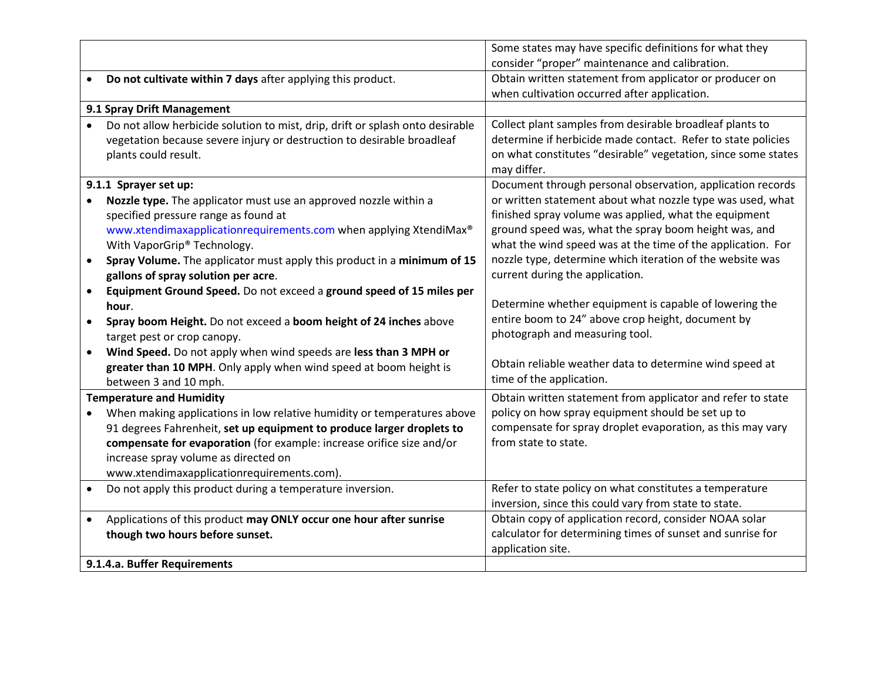|           |                                                                               | Some states may have specific definitions for what they                             |
|-----------|-------------------------------------------------------------------------------|-------------------------------------------------------------------------------------|
|           |                                                                               | consider "proper" maintenance and calibration.                                      |
| $\bullet$ | Do not cultivate within 7 days after applying this product.                   | Obtain written statement from applicator or producer on                             |
|           |                                                                               | when cultivation occurred after application.                                        |
|           | 9.1 Spray Drift Management                                                    |                                                                                     |
|           | Do not allow herbicide solution to mist, drip, drift or splash onto desirable | Collect plant samples from desirable broadleaf plants to                            |
|           | vegetation because severe injury or destruction to desirable broadleaf        | determine if herbicide made contact. Refer to state policies                        |
|           | plants could result.                                                          | on what constitutes "desirable" vegetation, since some states                       |
|           |                                                                               | may differ.                                                                         |
|           | 9.1.1 Sprayer set up:                                                         | Document through personal observation, application records                          |
|           | Nozzle type. The applicator must use an approved nozzle within a              | or written statement about what nozzle type was used, what                          |
|           | specified pressure range as found at                                          | finished spray volume was applied, what the equipment                               |
|           | www.xtendimaxapplicationrequirements.com when applying XtendiMax®             | ground speed was, what the spray boom height was, and                               |
|           | With VaporGrip® Technology.                                                   | what the wind speed was at the time of the application. For                         |
| $\bullet$ | Spray Volume. The applicator must apply this product in a minimum of 15       | nozzle type, determine which iteration of the website was                           |
|           | gallons of spray solution per acre.                                           | current during the application.                                                     |
| $\bullet$ | Equipment Ground Speed. Do not exceed a ground speed of 15 miles per          |                                                                                     |
|           | hour.                                                                         | Determine whether equipment is capable of lowering the                              |
| $\bullet$ | Spray boom Height. Do not exceed a boom height of 24 inches above             | entire boom to 24" above crop height, document by                                   |
|           | target pest or crop canopy.                                                   | photograph and measuring tool.                                                      |
| $\bullet$ | Wind Speed. Do not apply when wind speeds are less than 3 MPH or              |                                                                                     |
|           | greater than 10 MPH. Only apply when wind speed at boom height is             | Obtain reliable weather data to determine wind speed at<br>time of the application. |
|           | between 3 and 10 mph.                                                         |                                                                                     |
|           | <b>Temperature and Humidity</b>                                               | Obtain written statement from applicator and refer to state                         |
| $\bullet$ | When making applications in low relative humidity or temperatures above       | policy on how spray equipment should be set up to                                   |
|           | 91 degrees Fahrenheit, set up equipment to produce larger droplets to         | compensate for spray droplet evaporation, as this may vary                          |
|           | compensate for evaporation (for example: increase orifice size and/or         | from state to state.                                                                |
|           | increase spray volume as directed on                                          |                                                                                     |
|           | www.xtendimaxapplicationrequirements.com).                                    |                                                                                     |
| $\bullet$ | Do not apply this product during a temperature inversion.                     | Refer to state policy on what constitutes a temperature                             |
|           |                                                                               | inversion, since this could vary from state to state.                               |
| $\bullet$ | Applications of this product may ONLY occur one hour after sunrise            | Obtain copy of application record, consider NOAA solar                              |
|           | though two hours before sunset.                                               | calculator for determining times of sunset and sunrise for                          |
|           |                                                                               | application site.                                                                   |
|           | 9.1.4.a. Buffer Requirements                                                  |                                                                                     |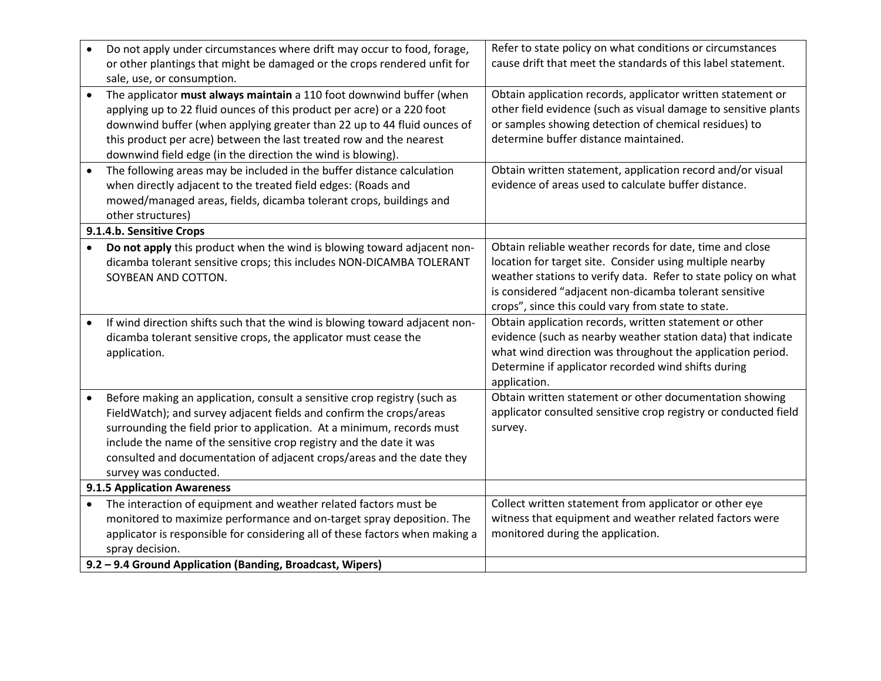| $\bullet$ | Do not apply under circumstances where drift may occur to food, forage,<br>or other plantings that might be damaged or the crops rendered unfit for<br>sale, use, or consumption.                                                                                                                                                                                                                  | Refer to state policy on what conditions or circumstances<br>cause drift that meet the standards of this label statement.                                                                                                                                                                              |
|-----------|----------------------------------------------------------------------------------------------------------------------------------------------------------------------------------------------------------------------------------------------------------------------------------------------------------------------------------------------------------------------------------------------------|--------------------------------------------------------------------------------------------------------------------------------------------------------------------------------------------------------------------------------------------------------------------------------------------------------|
|           | The applicator must always maintain a 110 foot downwind buffer (when<br>applying up to 22 fluid ounces of this product per acre) or a 220 foot<br>downwind buffer (when applying greater than 22 up to 44 fluid ounces of<br>this product per acre) between the last treated row and the nearest<br>downwind field edge (in the direction the wind is blowing).                                    | Obtain application records, applicator written statement or<br>other field evidence (such as visual damage to sensitive plants<br>or samples showing detection of chemical residues) to<br>determine buffer distance maintained.                                                                       |
|           | The following areas may be included in the buffer distance calculation<br>when directly adjacent to the treated field edges: (Roads and<br>mowed/managed areas, fields, dicamba tolerant crops, buildings and<br>other structures)                                                                                                                                                                 | Obtain written statement, application record and/or visual<br>evidence of areas used to calculate buffer distance.                                                                                                                                                                                     |
|           | 9.1.4.b. Sensitive Crops                                                                                                                                                                                                                                                                                                                                                                           |                                                                                                                                                                                                                                                                                                        |
|           | Do not apply this product when the wind is blowing toward adjacent non-<br>dicamba tolerant sensitive crops; this includes NON-DICAMBA TOLERANT<br>SOYBEAN AND COTTON.                                                                                                                                                                                                                             | Obtain reliable weather records for date, time and close<br>location for target site. Consider using multiple nearby<br>weather stations to verify data. Refer to state policy on what<br>is considered "adjacent non-dicamba tolerant sensitive<br>crops", since this could vary from state to state. |
|           | If wind direction shifts such that the wind is blowing toward adjacent non-<br>dicamba tolerant sensitive crops, the applicator must cease the<br>application.                                                                                                                                                                                                                                     | Obtain application records, written statement or other<br>evidence (such as nearby weather station data) that indicate<br>what wind direction was throughout the application period.<br>Determine if applicator recorded wind shifts during<br>application.                                            |
|           | Before making an application, consult a sensitive crop registry (such as<br>FieldWatch); and survey adjacent fields and confirm the crops/areas<br>surrounding the field prior to application. At a minimum, records must<br>include the name of the sensitive crop registry and the date it was<br>consulted and documentation of adjacent crops/areas and the date they<br>survey was conducted. | Obtain written statement or other documentation showing<br>applicator consulted sensitive crop registry or conducted field<br>survey.                                                                                                                                                                  |
|           | 9.1.5 Application Awareness                                                                                                                                                                                                                                                                                                                                                                        |                                                                                                                                                                                                                                                                                                        |
| $\bullet$ | The interaction of equipment and weather related factors must be<br>monitored to maximize performance and on-target spray deposition. The<br>applicator is responsible for considering all of these factors when making a<br>spray decision.                                                                                                                                                       | Collect written statement from applicator or other eye<br>witness that equipment and weather related factors were<br>monitored during the application.                                                                                                                                                 |
|           | 9.2 - 9.4 Ground Application (Banding, Broadcast, Wipers)                                                                                                                                                                                                                                                                                                                                          |                                                                                                                                                                                                                                                                                                        |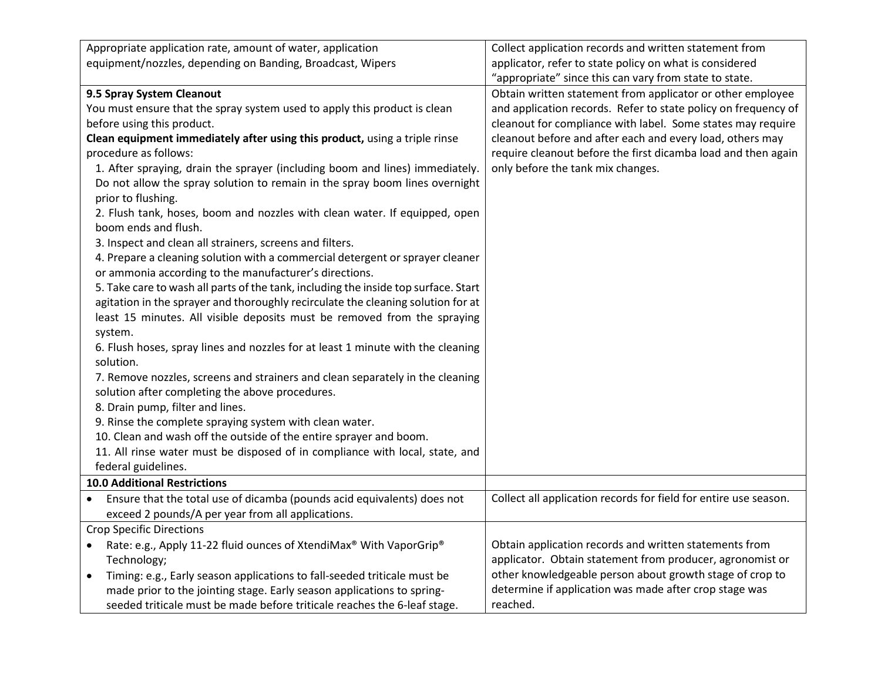| Appropriate application rate, amount of water, application                            | Collect application records and written statement from           |
|---------------------------------------------------------------------------------------|------------------------------------------------------------------|
| equipment/nozzles, depending on Banding, Broadcast, Wipers                            | applicator, refer to state policy on what is considered          |
|                                                                                       | "appropriate" since this can vary from state to state.           |
| 9.5 Spray System Cleanout                                                             | Obtain written statement from applicator or other employee       |
| You must ensure that the spray system used to apply this product is clean             | and application records. Refer to state policy on frequency of   |
| before using this product.                                                            | cleanout for compliance with label. Some states may require      |
| Clean equipment immediately after using this product, using a triple rinse            | cleanout before and after each and every load, others may        |
| procedure as follows:                                                                 | require cleanout before the first dicamba load and then again    |
| 1. After spraying, drain the sprayer (including boom and lines) immediately.          | only before the tank mix changes.                                |
| Do not allow the spray solution to remain in the spray boom lines overnight           |                                                                  |
| prior to flushing.                                                                    |                                                                  |
| 2. Flush tank, hoses, boom and nozzles with clean water. If equipped, open            |                                                                  |
| boom ends and flush.                                                                  |                                                                  |
| 3. Inspect and clean all strainers, screens and filters.                              |                                                                  |
| 4. Prepare a cleaning solution with a commercial detergent or sprayer cleaner         |                                                                  |
| or ammonia according to the manufacturer's directions.                                |                                                                  |
| 5. Take care to wash all parts of the tank, including the inside top surface. Start   |                                                                  |
| agitation in the sprayer and thoroughly recirculate the cleaning solution for at      |                                                                  |
| least 15 minutes. All visible deposits must be removed from the spraying              |                                                                  |
| system.                                                                               |                                                                  |
| 6. Flush hoses, spray lines and nozzles for at least 1 minute with the cleaning       |                                                                  |
| solution.                                                                             |                                                                  |
| 7. Remove nozzles, screens and strainers and clean separately in the cleaning         |                                                                  |
| solution after completing the above procedures.                                       |                                                                  |
| 8. Drain pump, filter and lines.                                                      |                                                                  |
| 9. Rinse the complete spraying system with clean water.                               |                                                                  |
| 10. Clean and wash off the outside of the entire sprayer and boom.                    |                                                                  |
| 11. All rinse water must be disposed of in compliance with local, state, and          |                                                                  |
| federal guidelines.                                                                   |                                                                  |
| <b>10.0 Additional Restrictions</b>                                                   |                                                                  |
| Ensure that the total use of dicamba (pounds acid equivalents) does not               | Collect all application records for field for entire use season. |
| exceed 2 pounds/A per year from all applications.                                     |                                                                  |
| <b>Crop Specific Directions</b>                                                       |                                                                  |
| Rate: e.g., Apply 11-22 fluid ounces of XtendiMax® With VaporGrip®                    | Obtain application records and written statements from           |
| Technology;                                                                           | applicator. Obtain statement from producer, agronomist or        |
| Timing: e.g., Early season applications to fall-seeded triticale must be<br>$\bullet$ | other knowledgeable person about growth stage of crop to         |
| made prior to the jointing stage. Early season applications to spring-                | determine if application was made after crop stage was           |
| seeded triticale must be made before triticale reaches the 6-leaf stage.              | reached.                                                         |